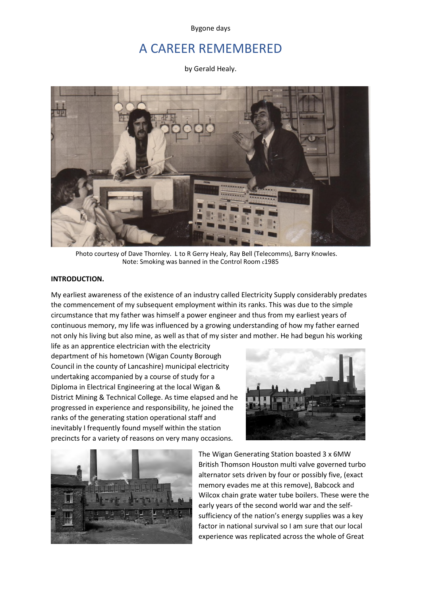Bygone days

# A CAREER REMEMBERED

by Gerald Healy.



Photo courtesy of Dave Thornley. L to R Gerry Healy, Ray Bell (Telecomms), Barry Knowles. Note: Smoking was banned in the Control Room c1985

### **INTRODUCTION.**

My earliest awareness of the existence of an industry called Electricity Supply considerably predates the commencement of my subsequent employment within its ranks. This was due to the simple circumstance that my father was himself a power engineer and thus from my earliest years of continuous memory, my life was influenced by a growing understanding of how my father earned not only his living but also mine, as well as that of my sister and mother. He had begun his working

life as an apprentice electrician with the electricity department of his hometown (Wigan County Borough Council in the county of Lancashire) municipal electricity undertaking accompanied by a course of study for a Diploma in Electrical Engineering at the local Wigan & District Mining & Technical College. As time elapsed and he progressed in experience and responsibility, he joined the ranks of the generating station operational staff and inevitably I frequently found myself within the station precincts for a variety of reasons on very many occasions.





The Wigan Generating Station boasted 3 x 6MW British Thomson Houston multi valve governed turbo alternator sets driven by four or possibly five, (exact memory evades me at this remove), Babcock and Wilcox chain grate water tube boilers. These were the early years of the second world war and the selfsufficiency of the nation's energy supplies was a key factor in national survival so I am sure that our local experience was replicated across the whole of Great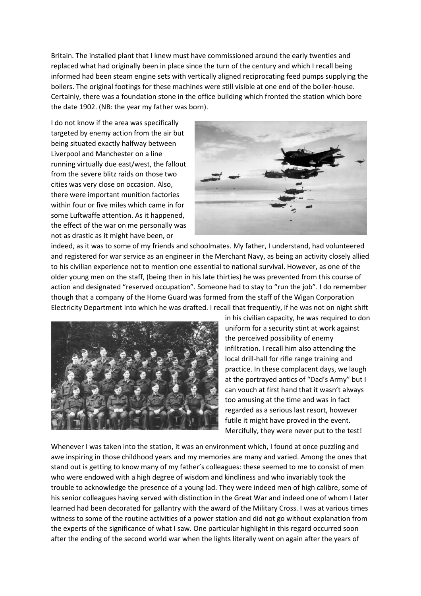Britain. The installed plant that I knew must have commissioned around the early twenties and replaced what had originally been in place since the turn of the century and which I recall being informed had been steam engine sets with vertically aligned reciprocating feed pumps supplying the boilers. The original footings for these machines were still visible at one end of the boiler-house. Certainly, there was a foundation stone in the office building which fronted the station which bore the date 1902. (NB: the year my father was born).

I do not know if the area was specifically targeted by enemy action from the air but being situated exactly halfway between Liverpool and Manchester on a line running virtually due east/west, the fallout from the severe blitz raids on those two cities was very close on occasion. Also, there were important munition factories within four or five miles which came in for some Luftwaffe attention. As it happened, the effect of the war on me personally was not as drastic as it might have been, or



indeed, as it was to some of my friends and schoolmates. My father, I understand, had volunteered and registered for war service as an engineer in the Merchant Navy, as being an activity closely allied to his civilian experience not to mention one essential to national survival. However, as one of the older young men on the staff, (being then in his late thirties) he was prevented from this course of action and designated "reserved occupation". Someone had to stay to "run the job". I do remember though that a company of the Home Guard was formed from the staff of the Wigan Corporation Electricity Department into which he was drafted. I recall that frequently, if he was not on night shift



in his civilian capacity, he was required to don uniform for a security stint at work against the perceived possibility of enemy infiltration. I recall him also attending the local drill-hall for rifle range training and practice. In these complacent days, we laugh at the portrayed antics of "Dad's Army" but I can vouch at first hand that it wasn't always too amusing at the time and was in fact regarded as a serious last resort, however futile it might have proved in the event. Mercifully, they were never put to the test!

Whenever I was taken into the station, it was an environment which, I found at once puzzling and awe inspiring in those childhood years and my memories are many and varied. Among the ones that stand out is getting to know many of my father's colleagues: these seemed to me to consist of men who were endowed with a high degree of wisdom and kindliness and who invariably took the trouble to acknowledge the presence of a young lad. They were indeed men of high calibre, some of his senior colleagues having served with distinction in the Great War and indeed one of whom I later learned had been decorated for gallantry with the award of the Military Cross. I was at various times witness to some of the routine activities of a power station and did not go without explanation from the experts of the significance of what I saw. One particular highlight in this regard occurred soon after the ending of the second world war when the lights literally went on again after the years of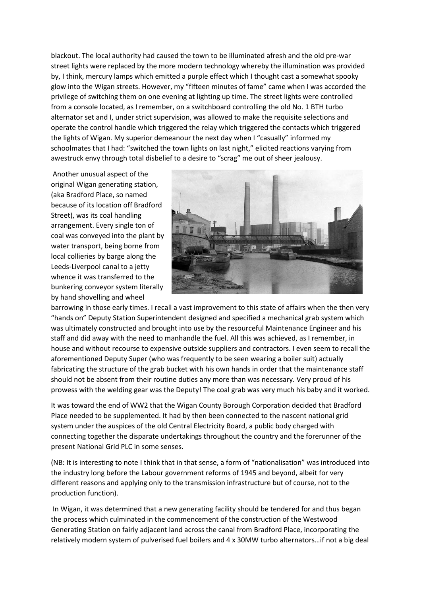blackout. The local authority had caused the town to be illuminated afresh and the old pre-war street lights were replaced by the more modern technology whereby the illumination was provided by, I think, mercury lamps which emitted a purple effect which I thought cast a somewhat spooky glow into the Wigan streets. However, my "fifteen minutes of fame" came when I was accorded the privilege of switching them on one evening at lighting up time. The street lights were controlled from a console located, as I remember, on a switchboard controlling the old No. 1 BTH turbo alternator set and I, under strict supervision, was allowed to make the requisite selections and operate the control handle which triggered the relay which triggered the contacts which triggered the lights of Wigan. My superior demeanour the next day when I "casually" informed my schoolmates that I had: "switched the town lights on last night," elicited reactions varying from awestruck envy through total disbelief to a desire to "scrag" me out of sheer jealousy.

Another unusual aspect of the original Wigan generating station, (aka Bradford Place, so named because of its location off Bradford Street), was its coal handling arrangement. Every single ton of coal was conveyed into the plant by water transport, being borne from local collieries by barge along the Leeds-Liverpool canal to a jetty whence it was transferred to the bunkering conveyor system literally by hand shovelling and wheel



barrowing in those early times. I recall a vast improvement to this state of affairs when the then very "hands on" Deputy Station Superintendent designed and specified a mechanical grab system which was ultimately constructed and brought into use by the resourceful Maintenance Engineer and his staff and did away with the need to manhandle the fuel. All this was achieved, as I remember, in house and without recourse to expensive outside suppliers and contractors. I even seem to recall the aforementioned Deputy Super (who was frequently to be seen wearing a boiler suit) actually fabricating the structure of the grab bucket with his own hands in order that the maintenance staff should not be absent from their routine duties any more than was necessary. Very proud of his prowess with the welding gear was the Deputy! The coal grab was very much his baby and it worked.

It was toward the end of WW2 that the Wigan County Borough Corporation decided that Bradford Place needed to be supplemented. It had by then been connected to the nascent national grid system under the auspices of the old Central Electricity Board, a public body charged with connecting together the disparate undertakings throughout the country and the forerunner of the present National Grid PLC in some senses.

(NB: It is interesting to note I think that in that sense, a form of "nationalisation" was introduced into the industry long before the Labour government reforms of 1945 and beyond, albeit for very different reasons and applying only to the transmission infrastructure but of course, not to the production function).

In Wigan, it was determined that a new generating facility should be tendered for and thus began the process which culminated in the commencement of the construction of the Westwood Generating Station on fairly adjacent land across the canal from Bradford Place, incorporating the relatively modern system of pulverised fuel boilers and 4 x 30MW turbo alternators…if not a big deal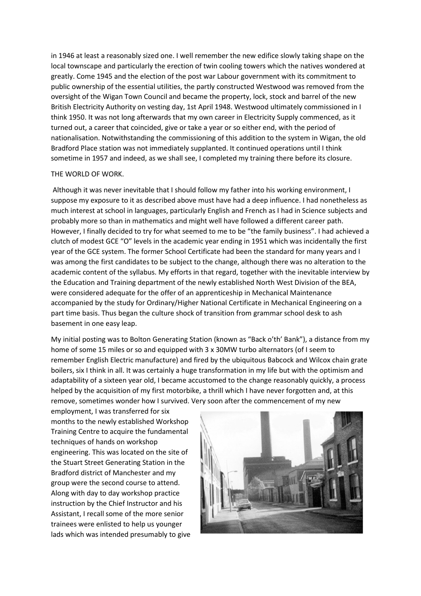in 1946 at least a reasonably sized one. I well remember the new edifice slowly taking shape on the local townscape and particularly the erection of twin cooling towers which the natives wondered at greatly. Come 1945 and the election of the post war Labour government with its commitment to public ownership of the essential utilities, the partly constructed Westwood was removed from the oversight of the Wigan Town Council and became the property, lock, stock and barrel of the new British Electricity Authority on vesting day, 1st April 1948. Westwood ultimately commissioned in I think 1950. It was not long afterwards that my own career in Electricity Supply commenced, as it turned out, a career that coincided, give or take a year or so either end, with the period of nationalisation. Notwithstanding the commissioning of this addition to the system in Wigan, the old Bradford Place station was not immediately supplanted. It continued operations until I think sometime in 1957 and indeed, as we shall see, I completed my training there before its closure.

### THE WORLD OF WORK.

Although it was never inevitable that I should follow my father into his working environment, I suppose my exposure to it as described above must have had a deep influence. I had nonetheless as much interest at school in languages, particularly English and French as I had in Science subjects and probably more so than in mathematics and might well have followed a different career path. However, I finally decided to try for what seemed to me to be "the family business". I had achieved a clutch of modest GCE "O" levels in the academic year ending in 1951 which was incidentally the first year of the GCE system. The former School Certificate had been the standard for many years and I was among the first candidates to be subject to the change, although there was no alteration to the academic content of the syllabus. My efforts in that regard, together with the inevitable interview by the Education and Training department of the newly established North West Division of the BEA, were considered adequate for the offer of an apprenticeship in Mechanical Maintenance accompanied by the study for Ordinary/Higher National Certificate in Mechanical Engineering on a part time basis. Thus began the culture shock of transition from grammar school desk to ash basement in one easy leap.

My initial posting was to Bolton Generating Station (known as "Back o'th' Bank"), a distance from my home of some 15 miles or so and equipped with 3 x 30MW turbo alternators (of I seem to remember English Electric manufacture) and fired by the ubiquitous Babcock and Wilcox chain grate boilers, six I think in all. It was certainly a huge transformation in my life but with the optimism and adaptability of a sixteen year old, I became accustomed to the change reasonably quickly, a process helped by the acquisition of my first motorbike, a thrill which I have never forgotten and, at this remove, sometimes wonder how I survived. Very soon after the commencement of my new

employment, I was transferred for six months to the newly established Workshop Training Centre to acquire the fundamental techniques of hands on workshop engineering. This was located on the site of the Stuart Street Generating Station in the Bradford district of Manchester and my group were the second course to attend. Along with day to day workshop practice instruction by the Chief Instructor and his Assistant, I recall some of the more senior trainees were enlisted to help us younger lads which was intended presumably to give

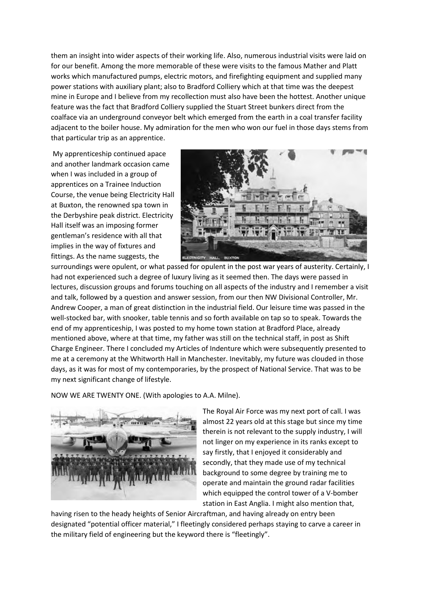them an insight into wider aspects of their working life. Also, numerous industrial visits were laid on for our benefit. Among the more memorable of these were visits to the famous Mather and Platt works which manufactured pumps, electric motors, and firefighting equipment and supplied many power stations with auxiliary plant; also to Bradford Colliery which at that time was the deepest mine in Europe and I believe from my recollection must also have been the hottest. Another unique feature was the fact that Bradford Colliery supplied the Stuart Street bunkers direct from the coalface via an underground conveyor belt which emerged from the earth in a coal transfer facility adjacent to the boiler house. My admiration for the men who won our fuel in those days stems from that particular trip as an apprentice.

My apprenticeship continued apace and another landmark occasion came when I was included in a group of apprentices on a Trainee Induction Course, the venue being Electricity Hall at Buxton, the renowned spa town in the Derbyshire peak district. Electricity Hall itself was an imposing former gentleman's residence with all that implies in the way of fixtures and fittings. As the name suggests, the



surroundings were opulent, or what passed for opulent in the post war years of austerity. Certainly, I had not experienced such a degree of luxury living as it seemed then. The days were passed in lectures, discussion groups and forums touching on all aspects of the industry and I remember a visit and talk, followed by a question and answer session, from our then NW Divisional Controller, Mr. Andrew Cooper, a man of great distinction in the industrial field. Our leisure time was passed in the well-stocked bar, with snooker, table tennis and so forth available on tap so to speak. Towards the end of my apprenticeship, I was posted to my home town station at Bradford Place, already mentioned above, where at that time, my father was still on the technical staff, in post as Shift Charge Engineer. There I concluded my Articles of Indenture which were subsequently presented to me at a ceremony at the Whitworth Hall in Manchester. Inevitably, my future was clouded in those days, as it was for most of my contemporaries, by the prospect of National Service. That was to be my next significant change of lifestyle.

NOW WE ARE TWENTY ONE. (With apologies to A.A. Milne).



The Royal Air Force was my next port of call. I was almost 22 years old at this stage but since my time therein is not relevant to the supply industry, I will not linger on my experience in its ranks except to say firstly, that I enjoyed it considerably and secondly, that they made use of my technical background to some degree by training me to operate and maintain the ground radar facilities which equipped the control tower of a V-bomber station in East Anglia. I might also mention that,

having risen to the heady heights of Senior Aircraftman, and having already on entry been designated "potential officer material," I fleetingly considered perhaps staying to carve a career in the military field of engineering but the keyword there is "fleetingly".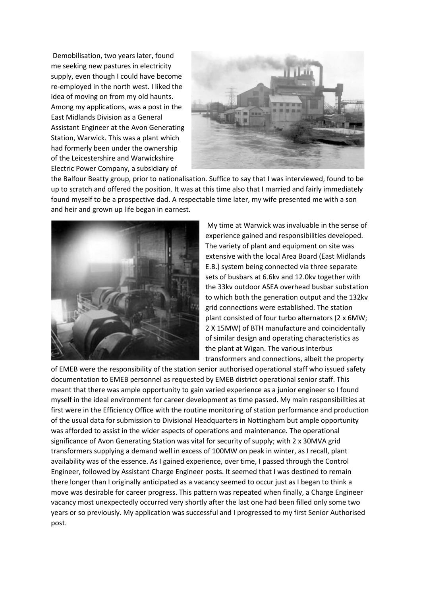Demobilisation, two years later, found me seeking new pastures in electricity supply, even though I could have become re-employed in the north west. I liked the idea of moving on from my old haunts. Among my applications, was a post in the East Midlands Division as a General Assistant Engineer at the Avon Generating Station, Warwick. This was a plant which had formerly been under the ownership of the Leicestershire and Warwickshire Electric Power Company, a subsidiary of



the Balfour Beatty group, prior to nationalisation. Suffice to say that I was interviewed, found to be up to scratch and offered the position. It was at this time also that I married and fairly immediately found myself to be a prospective dad. A respectable time later, my wife presented me with a son and heir and grown up life began in earnest.



My time at Warwick was invaluable in the sense of experience gained and responsibilities developed. The variety of plant and equipment on site was extensive with the local Area Board (East Midlands E.B.) system being connected via three separate sets of busbars at 6.6kv and 12.0kv together with the 33kv outdoor ASEA overhead busbar substation to which both the generation output and the 132kv grid connections were established. The station plant consisted of four turbo alternators (2 x 6MW; 2 X 15MW) of BTH manufacture and coincidentally of similar design and operating characteristics as the plant at Wigan. The various interbus transformers and connections, albeit the property

of EMEB were the responsibility of the station senior authorised operational staff who issued safety documentation to EMEB personnel as requested by EMEB district operational senior staff. This meant that there was ample opportunity to gain varied experience as a junior engineer so I found myself in the ideal environment for career development as time passed. My main responsibilities at first were in the Efficiency Office with the routine monitoring of station performance and production of the usual data for submission to Divisional Headquarters in Nottingham but ample opportunity was afforded to assist in the wider aspects of operations and maintenance. The operational significance of Avon Generating Station was vital for security of supply; with 2 x 30MVA grid transformers supplying a demand well in excess of 100MW on peak in winter, as I recall, plant availability was of the essence. As I gained experience, over time, I passed through the Control Engineer, followed by Assistant Charge Engineer posts. It seemed that I was destined to remain there longer than I originally anticipated as a vacancy seemed to occur just as I began to think a move was desirable for career progress. This pattern was repeated when finally, a Charge Engineer vacancy most unexpectedly occurred very shortly after the last one had been filled only some two years or so previously. My application was successful and I progressed to my first Senior Authorised post.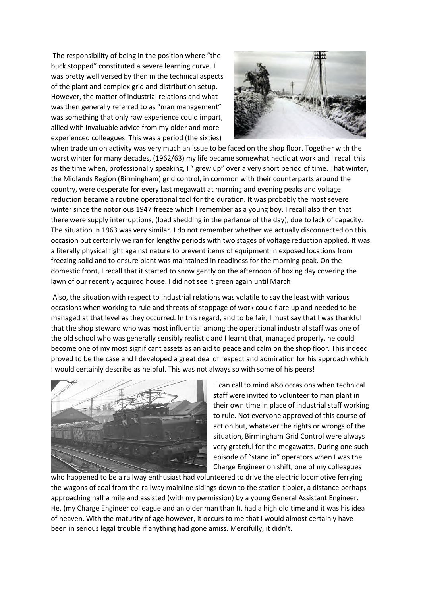The responsibility of being in the position where "the buck stopped" constituted a severe learning curve. I was pretty well versed by then in the technical aspects of the plant and complex grid and distribution setup. However, the matter of industrial relations and what was then generally referred to as "man management" was something that only raw experience could impart, allied with invaluable advice from my older and more experienced colleagues. This was a period (the sixties)



when trade union activity was very much an issue to be faced on the shop floor. Together with the worst winter for many decades, (1962/63) my life became somewhat hectic at work and I recall this as the time when, professionally speaking, I " grew up" over a very short period of time. That winter, the Midlands Region (Birmingham) grid control, in common with their counterparts around the country, were desperate for every last megawatt at morning and evening peaks and voltage reduction became a routine operational tool for the duration. It was probably the most severe winter since the notorious 1947 freeze which I remember as a young boy. I recall also then that there were supply interruptions, (load shedding in the parlance of the day), due to lack of capacity. The situation in 1963 was very similar. I do not remember whether we actually disconnected on this occasion but certainly we ran for lengthy periods with two stages of voltage reduction applied. It was a literally physical fight against nature to prevent items of equipment in exposed locations from freezing solid and to ensure plant was maintained in readiness for the morning peak. On the domestic front, I recall that it started to snow gently on the afternoon of boxing day covering the lawn of our recently acquired house. I did not see it green again until March!

Also, the situation with respect to industrial relations was volatile to say the least with various occasions when working to rule and threats of stoppage of work could flare up and needed to be managed at that level as they occurred. In this regard, and to be fair, I must say that I was thankful that the shop steward who was most influential among the operational industrial staff was one of the old school who was generally sensibly realistic and I learnt that, managed properly, he could become one of my most significant assets as an aid to peace and calm on the shop floor. This indeed proved to be the case and I developed a great deal of respect and admiration for his approach which I would certainly describe as helpful. This was not always so with some of his peers!



I can call to mind also occasions when technical staff were invited to volunteer to man plant in their own time in place of industrial staff working to rule. Not everyone approved of this course of action but, whatever the rights or wrongs of the situation, Birmingham Grid Control were always very grateful for the megawatts. During one such episode of "stand in" operators when I was the Charge Engineer on shift, one of my colleagues

who happened to be a railway enthusiast had volunteered to drive the electric locomotive ferrying the wagons of coal from the railway mainline sidings down to the station tippler, a distance perhaps approaching half a mile and assisted (with my permission) by a young General Assistant Engineer. He, (my Charge Engineer colleague and an older man than I), had a high old time and it was his idea of heaven. With the maturity of age however, it occurs to me that I would almost certainly have been in serious legal trouble if anything had gone amiss. Mercifully, it didn't.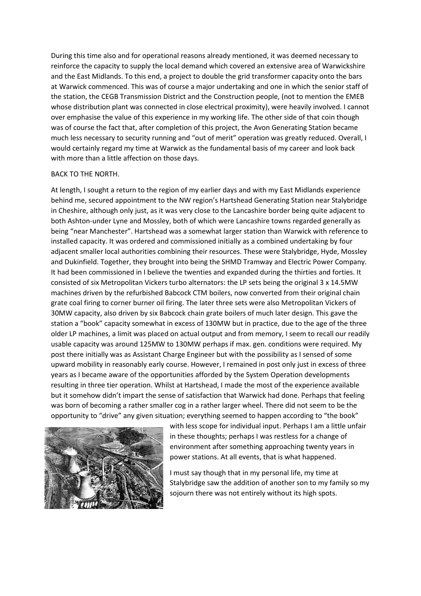During this time also and for operational reasons already mentioned, it was deemed necessary to reinforce the capacity to supply the local demand which covered an extensive area of Warwickshire and the East Midlands. To this end, a project to double the grid transformer capacity onto the bars at Warwick commenced. This was of course a major undertaking and one in which the senior staff of the station, the CEGB Transmission District and the Construction people, (not to mention the EMEB whose distribution plant was connected in close electrical proximity), were heavily involved. I cannot over emphasise the value of this experience in my working life. The other side of that coin though was of course the fact that, after completion of this project, the Avon Generating Station became much less necessary to security running and "out of merit" operation was greatly reduced. Overall, I would certainly regard my time at Warwick as the fundamental basis of my career and look back with more than a little affection on those days.

## BACK TO THE NORTH.

At length, I sought a return to the region of my earlier days and with my East Midlands experience behind me, secured appointment to the NW region's Hartshead Generating Station near Stalybridge in Cheshire, although only just, as it was very close to the Lancashire border being quite adjacent to both Ashton-under Lyne and Mossley, both of which were Lancashire towns regarded generally as being "near Manchester". Hartshead was a somewhat larger station than Warwick with reference to installed capacity. It was ordered and commissioned initially as a combined undertaking by four adjacent smaller local authorities combining their resources. These were Stalybridge, Hyde, Mossley and Dukinfield. Together, they brought into being the SHMD Tramway and Electric Power Company. It had been commissioned in I believe the twenties and expanded during the thirties and forties. It consisted of six Metropolitan Vickers turbo alternators: the LP sets being the original 3 x 14.5MW machines driven by the refurbished Babcock CTM boilers, now converted from their original chain grate coal firing to corner burner oil firing. The later three sets were also Metropolitan Vickers of 30MW capacity, also driven by six Babcock chain grate boilers of much later design. This gave the station a "book" capacity somewhat in excess of 130MW but in practice, due to the age of the three older LP machines, a limit was placed on actual output and from memory, I seem to recall our readily usable capacity was around 125MW to 130MW perhaps if max. gen. conditions were required. My post there initially was as Assistant Charge Engineer but with the possibility as I sensed of some upward mobility in reasonably early course. However, I remained in post only just in excess of three years as I became aware of the opportunities afforded by the System Operation developments resulting in three tier operation. Whilst at Hartshead, I made the most of the experience available but it somehow didn't impart the sense of satisfaction that Warwick had done. Perhaps that feeling was born of becoming a rather smaller cog in a rather larger wheel. There did not seem to be the opportunity to "drive" any given situation; everything seemed to happen according to "the book"



with less scope for individual input. Perhaps I am a little unfair in these thoughts; perhaps I was restless for a change of environment after something approaching twenty years in power stations. At all events, that is what happened.

I must say though that in my personal life, my time at Stalybridge saw the addition of another son to my family so my sojourn there was not entirely without its high spots.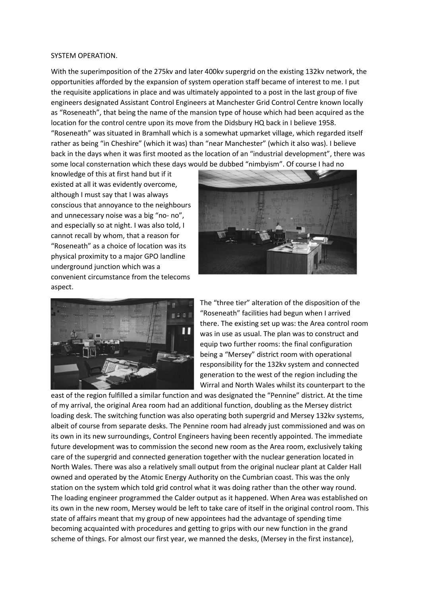#### SYSTEM OPERATION.

With the superimposition of the 275kv and later 400kv supergrid on the existing 132kv network, the opportunities afforded by the expansion of system operation staff became of interest to me. I put the requisite applications in place and was ultimately appointed to a post in the last group of five engineers designated Assistant Control Engineers at Manchester Grid Control Centre known locally as "Roseneath", that being the name of the mansion type of house which had been acquired as the location for the control centre upon its move from the Didsbury HQ back in I believe 1958. "Roseneath" was situated in Bramhall which is a somewhat upmarket village, which regarded itself rather as being "in Cheshire" (which it was) than "near Manchester" (which it also was). I believe back in the days when it was first mooted as the location of an "industrial development", there was some local consternation which these days would be dubbed "nimbyism". Of course I had no

knowledge of this at first hand but if it existed at all it was evidently overcome, although I must say that I was always conscious that annoyance to the neighbours and unnecessary noise was a big "no- no", and especially so at night. I was also told, I cannot recall by whom, that a reason for "Roseneath" as a choice of location was its physical proximity to a major GPO landline underground junction which was a convenient circumstance from the telecoms aspect.





The "three tier" alteration of the disposition of the "Roseneath" facilities had begun when I arrived there. The existing set up was: the Area control room was in use as usual. The plan was to construct and equip two further rooms: the final configuration being a "Mersey" district room with operational responsibility for the 132kv system and connected generation to the west of the region including the Wirral and North Wales whilst its counterpart to the

east of the region fulfilled a similar function and was designated the "Pennine" district. At the time of my arrival, the original Area room had an additional function, doubling as the Mersey district loading desk. The switching function was also operating both supergrid and Mersey 132kv systems, albeit of course from separate desks. The Pennine room had already just commissioned and was on its own in its new surroundings, Control Engineers having been recently appointed. The immediate future development was to commission the second new room as the Area room, exclusively taking care of the supergrid and connected generation together with the nuclear generation located in North Wales. There was also a relatively small output from the original nuclear plant at Calder Hall owned and operated by the Atomic Energy Authority on the Cumbrian coast. This was the only station on the system which told grid control what it was doing rather than the other way round. The loading engineer programmed the Calder output as it happened. When Area was established on its own in the new room, Mersey would be left to take care of itself in the original control room. This state of affairs meant that my group of new appointees had the advantage of spending time becoming acquainted with procedures and getting to grips with our new function in the grand scheme of things. For almost our first year, we manned the desks, (Mersey in the first instance),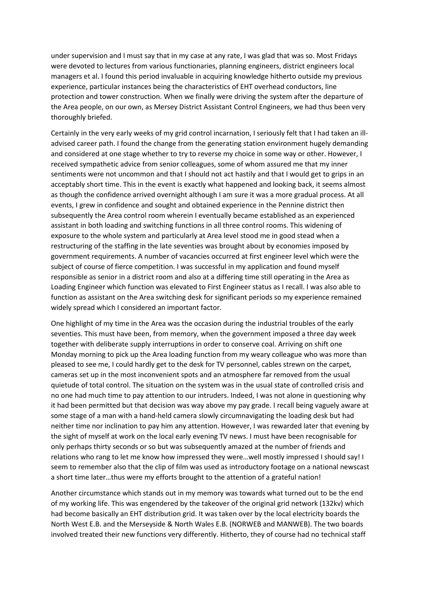under supervision and I must say that in my case at any rate, I was glad that was so. Most Fridays were devoted to lectures from various functionaries, planning engineers, district engineers local managers et al. I found this period invaluable in acquiring knowledge hitherto outside my previous experience, particular instances being the characteristics of EHT overhead conductors, line protection and tower construction. When we finally were driving the system after the departure of the Area people, on our own, as Mersey District Assistant Control Engineers, we had thus been very thoroughly briefed.

Certainly in the very early weeks of my grid control incarnation, I seriously felt that I had taken an illadvised career path. I found the change from the generating station environment hugely demanding and considered at one stage whether to try to reverse my choice in some way or other. However, I received sympathetic advice from senior colleagues, some of whom assured me that my inner sentiments were not uncommon and that I should not act hastily and that I would get to grips in an acceptably short time. This in the event is exactly what happened and looking back, it seems almost as though the confidence arrived overnight although I am sure it was a more gradual process. At all events, I grew in confidence and sought and obtained experience in the Pennine district then subsequently the Area control room wherein I eventually became established as an experienced assistant in both loading and switching functions in all three control rooms. This widening of exposure to the whole system and particularly at Area level stood me in good stead when a restructuring of the staffing in the late seventies was brought about by economies imposed by government requirements. A number of vacancies occurred at first engineer level which were the subject of course of fierce competition. I was successful in my application and found myself responsible as senior in a district room and also at a differing time still operating in the Area as Loading Engineer which function was elevated to First Engineer status as I recall. I was also able to function as assistant on the Area switching desk for significant periods so my experience remained widely spread which I considered an important factor.

One highlight of my time in the Area was the occasion during the industrial troubles of the early seventies. This must have been, from memory, when the government imposed a three day week together with deliberate supply interruptions in order to conserve coal. Arriving on shift one Monday morning to pick up the Area loading function from my weary colleague who was more than pleased to see me, I could hardly get to the desk for TV personnel, cables strewn on the carpet, cameras set up in the most inconvenient spots and an atmosphere far removed from the usual quietude of total control. The situation on the system was in the usual state of controlled crisis and no one had much time to pay attention to our intruders. Indeed, I was not alone in questioning why it had been permitted but that decision was way above my pay grade. I recall being vaguely aware at some stage of a man with a hand-held camera slowly circumnavigating the loading desk but had neither time nor inclination to pay him any attention. However, I was rewarded later that evening by the sight of myself at work on the local early evening TV news. I must have been recognisable for only perhaps thirty seconds or so but was subsequently amazed at the number of friends and relations who rang to let me know how impressed they were…well mostly impressed I should say! I seem to remember also that the clip of film was used as introductory footage on a national newscast a short time later…thus were my efforts brought to the attention of a grateful nation!

Another circumstance which stands out in my memory was towards what turned out to be the end of my working life. This was engendered by the takeover of the original grid network (132kv) which had become basically an EHT distribution grid. It was taken over by the local electricity boards the North West E.B. and the Merseyside & North Wales E.B. (NORWEB and MANWEB). The two boards involved treated their new functions very differently. Hitherto, they of course had no technical staff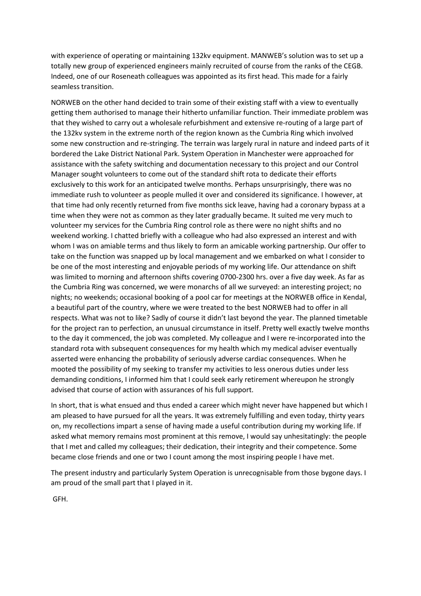with experience of operating or maintaining 132kv equipment. MANWEB's solution was to set up a totally new group of experienced engineers mainly recruited of course from the ranks of the CEGB. Indeed, one of our Roseneath colleagues was appointed as its first head. This made for a fairly seamless transition.

NORWEB on the other hand decided to train some of their existing staff with a view to eventually getting them authorised to manage their hitherto unfamiliar function. Their immediate problem was that they wished to carry out a wholesale refurbishment and extensive re-routing of a large part of the 132kv system in the extreme north of the region known as the Cumbria Ring which involved some new construction and re-stringing. The terrain was largely rural in nature and indeed parts of it bordered the Lake District National Park. System Operation in Manchester were approached for assistance with the safety switching and documentation necessary to this project and our Control Manager sought volunteers to come out of the standard shift rota to dedicate their efforts exclusively to this work for an anticipated twelve months. Perhaps unsurprisingly, there was no immediate rush to volunteer as people mulled it over and considered its significance. I however, at that time had only recently returned from five months sick leave, having had a coronary bypass at a time when they were not as common as they later gradually became. It suited me very much to volunteer my services for the Cumbria Ring control role as there were no night shifts and no weekend working. I chatted briefly with a colleague who had also expressed an interest and with whom I was on amiable terms and thus likely to form an amicable working partnership. Our offer to take on the function was snapped up by local management and we embarked on what I consider to be one of the most interesting and enjoyable periods of my working life. Our attendance on shift was limited to morning and afternoon shifts covering 0700-2300 hrs. over a five day week. As far as the Cumbria Ring was concerned, we were monarchs of all we surveyed: an interesting project; no nights; no weekends; occasional booking of a pool car for meetings at the NORWEB office in Kendal, a beautiful part of the country, where we were treated to the best NORWEB had to offer in all respects. What was not to like? Sadly of course it didn't last beyond the year. The planned timetable for the project ran to perfection, an unusual circumstance in itself. Pretty well exactly twelve months to the day it commenced, the job was completed. My colleague and I were re-incorporated into the standard rota with subsequent consequences for my health which my medical adviser eventually asserted were enhancing the probability of seriously adverse cardiac consequences. When he mooted the possibility of my seeking to transfer my activities to less onerous duties under less demanding conditions, I informed him that I could seek early retirement whereupon he strongly advised that course of action with assurances of his full support.

In short, that is what ensued and thus ended a career which might never have happened but which I am pleased to have pursued for all the years. It was extremely fulfilling and even today, thirty years on, my recollections impart a sense of having made a useful contribution during my working life. If asked what memory remains most prominent at this remove, I would say unhesitatingly: the people that I met and called my colleagues; their dedication, their integrity and their competence. Some became close friends and one or two I count among the most inspiring people I have met.

The present industry and particularly System Operation is unrecognisable from those bygone days. I am proud of the small part that I played in it.

GFH.